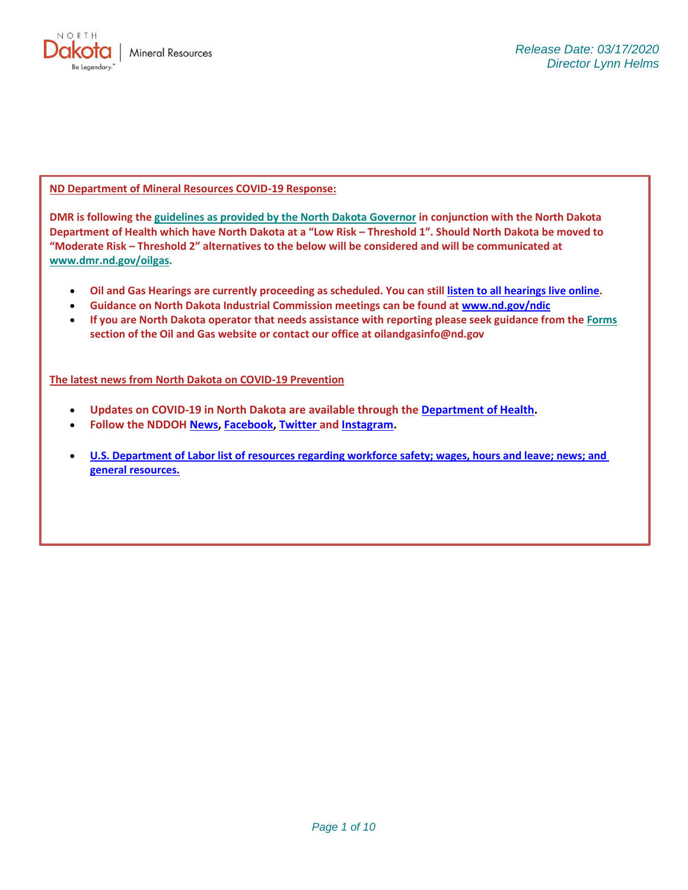

**ND Department of Mineral Resources COVID-19 Response:**

**DMR is following th[e guidelines as provided by the North Dakota Governor](https://www.governor.nd.gov/news/burgum-department-health-release-recommendations-events-and-public-gatherings) in conjunction with the North Dakota Department of Health which have North Dakota at a "Low Risk – Threshold 1". Should North Dakota be moved to "Moderate Risk – Threshold 2" alternatives to the below will be considered and will be communicated at [www.dmr.nd.gov/oilgas.](http://www.dmr.nd.gov/oilgas)**

- **Oil and Gas Hearings are currently proceeding as scheduled. You can still [listen to all hearings live online.](https://www.dmr.nd.gov/oilgas/docketindex.asp)**
- **Guidance on North Dakota Industrial Commission meetings can be found at [www.nd.gov/ndic](http://www.nd.gov/ndic)**
- **If you are North Dakota operator that needs assistance with reporting please seek guidance from the [Forms](https://www.dmr.nd.gov/oilgas/rules/fillinforms.asp) section of the Oil and Gas website or contact our office at oilandgasinfo@nd.gov**

**The latest news from North Dakota on COVID-19 Prevention**

- **Updates on COVID-19 in North Dakota are available through the [Department of Health.](https://www.health.nd.gov/diseases-conditions/coronavirus)**
- **Follow the NDDOH [News,](https://www.health.nd.gov/news) [Facebook,](https://www.facebook.com/ndhealth) [Twitter](https://twitter.com/NDDOH) and [Instagram.](https://www.instagram.com/ndstatehealth/)**
- **[U.S. Department of Labor list of resources regarding workforce safety;](https://www.dol.gov/coronavirus) wages, hours and leave; news; and [general resources.](https://www.dol.gov/coronavirus)**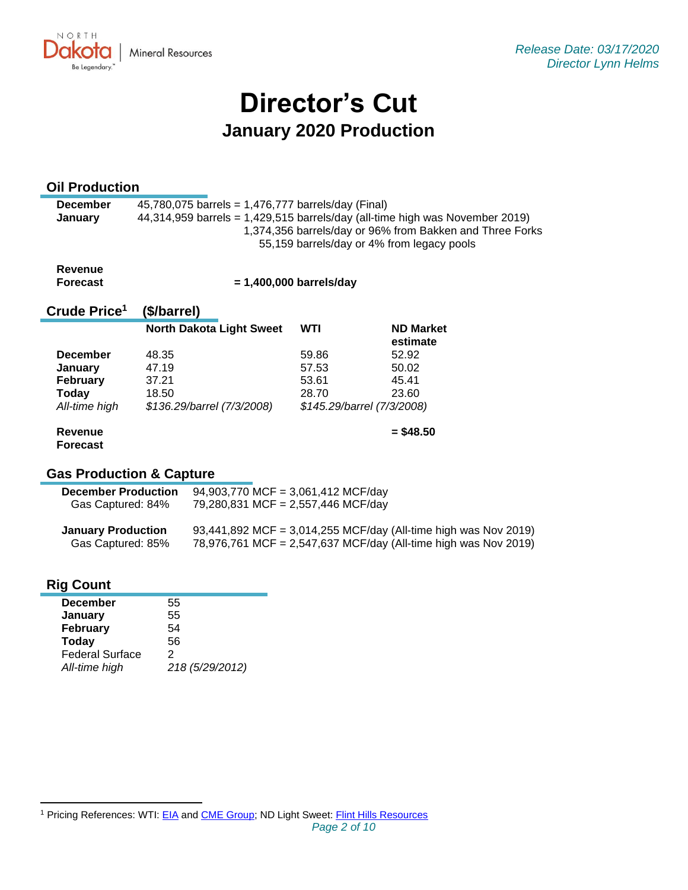

# **Director's Cut January 2020 Production**

## **Oil Production**

| <b>December</b> | 45,780,075 barrels = 1,476,777 barrels/day (Final)                           |
|-----------------|------------------------------------------------------------------------------|
| <b>January</b>  | 44,314,959 barrels = 1,429,515 barrels/day (all-time high was November 2019) |
|                 | 1,374,356 barrels/day or 96% from Bakken and Three Forks                     |
|                 | 55,159 barrels/day or 4% from legacy pools                                   |
|                 |                                                                              |

**Revenue Forecast**

 **= 1,400,000 barrels/day**

#### **Crude Price 1 (\$/barrel)**

|                 | <b>North Dakota Light Sweet</b> | WTI                        | <b>ND Market</b><br>estimate |
|-----------------|---------------------------------|----------------------------|------------------------------|
| <b>December</b> | 48.35                           | 59.86                      | 52.92                        |
| January         | 47.19                           | 57.53                      | 50.02                        |
| <b>February</b> | 37.21                           | 53.61                      | 45.41                        |
| Today           | 18.50                           | 28.70                      | 23.60                        |
| All-time high   | \$136.29/barrel (7/3/2008)      | \$145.29/barrel (7/3/2008) |                              |
| Revenue         |                                 |                            | $=$ \$48.50                  |

## **Forecast**

## **Gas Production & Capture**

| <b>December Production</b> | 94,903,770 MCF = 3,061,412 MCF/day                              |
|----------------------------|-----------------------------------------------------------------|
| Gas Captured: 84%          | 79,280,831 MCF = 2,557,446 MCF/day                              |
| <b>January Production</b>  | 93,441,892 MCF = 3,014,255 MCF/day (All-time high was Nov 2019) |
| Gas Captured: 85%          | 78,976,761 MCF = 2,547,637 MCF/day (All-time high was Nov 2019) |

## **Rig Count**

| <b>December</b>        | 55              |
|------------------------|-----------------|
| January                | 55              |
| February               | 54              |
| <b>Today</b>           | 56              |
| <b>Federal Surface</b> | 2               |
| All-time high          | 218 (5/29/2012) |
|                        |                 |

<sup>&</sup>lt;sup>1</sup> Pricing References: WTI: [EIA](https://www.eia.gov/dnav/pet/hist/LeafHandler.ashx?n=PET&s=RCLC1&f=M) and [CME Group;](https://www.cmegroup.com/trading/energy/crude-oil/light-sweet-crude.html) ND Light Sweet: [Flint Hills Resources](https://www.fhr.com/products-services/fuels-and-aromatics)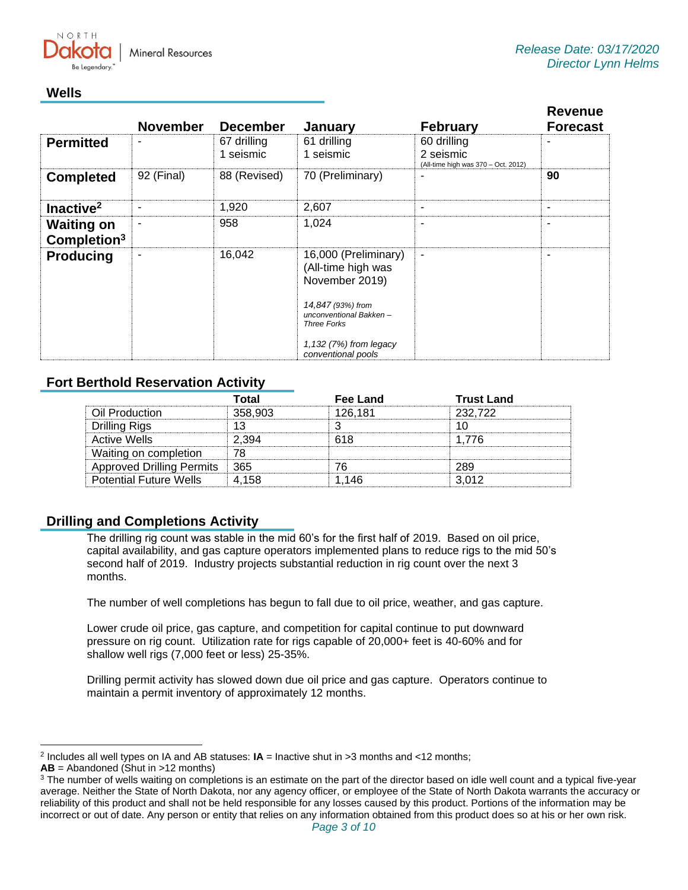

## **Wells**

|                                              | <b>November</b> | <b>December</b>          | January                                                                                                                                                                           | <b>February</b>                                                 | <b>Revenue</b><br><b>Forecast</b> |
|----------------------------------------------|-----------------|--------------------------|-----------------------------------------------------------------------------------------------------------------------------------------------------------------------------------|-----------------------------------------------------------------|-----------------------------------|
| <b>Permitted</b>                             |                 | 67 drilling<br>1 seismic | 61 drilling<br>1 seismic                                                                                                                                                          | 60 drilling<br>2 seismic<br>(All-time high was 370 - Oct. 2012) |                                   |
| <b>Completed</b>                             | 92 (Final)      | 88 (Revised)             | 70 (Preliminary)                                                                                                                                                                  | ۰                                                               | 90                                |
| Inactive <sup>2</sup>                        |                 | 1,920                    | 2,607                                                                                                                                                                             | ۰                                                               |                                   |
| <b>Waiting on</b><br>Completion <sup>3</sup> | ۰               | 958                      | 1,024                                                                                                                                                                             | ٠                                                               | $\overline{\phantom{a}}$          |
| <b>Producing</b>                             | ۰               | 16,042                   | 16,000 (Preliminary)<br>(All-time high was<br>November 2019)<br>14,847 (93%) from<br>unconventional Bakken-<br><b>Three Forks</b><br>1,132 (7%) from legacy<br>conventional pools | $\overline{\phantom{a}}$                                        |                                   |

## **Fort Berthold Reservation Activity**

|                                  | Total   | Fee Land | <b>Trust Land</b> |
|----------------------------------|---------|----------|-------------------|
| Oil Production                   | 358,903 | 126.181  | 232.722           |
| Drilling Rigs                    |         |          |                   |
| <b>Active Wells</b>              | 2.394   | 618      | 1 776             |
| Waiting on completion            | 78      |          |                   |
| <b>Approved Drilling Permits</b> | ⊟ 365   |          | 289               |
| <b>Potential Future Wells</b>    | 4.158   | 1.146    | -3.012            |

## **Drilling and Completions Activity**

The drilling rig count was stable in the mid 60's for the first half of 2019. Based on oil price, capital availability, and gas capture operators implemented plans to reduce rigs to the mid 50's second half of 2019. Industry projects substantial reduction in rig count over the next 3 months.

The number of well completions has begun to fall due to oil price, weather, and gas capture.

Lower crude oil price, gas capture, and competition for capital continue to put downward pressure on rig count. Utilization rate for rigs capable of 20,000+ feet is 40-60% and for shallow well rigs (7,000 feet or less) 25-35%.

Drilling permit activity has slowed down due oil price and gas capture. Operators continue to maintain a permit inventory of approximately 12 months.

<sup>2</sup> Includes all well types on IA and AB statuses: **IA** = Inactive shut in >3 months and <12 months;

**AB** = Abandoned (Shut in >12 months)

<sup>&</sup>lt;sup>3</sup> The number of wells waiting on completions is an estimate on the part of the director based on idle well count and a typical five-year average. Neither the State of North Dakota, nor any agency officer, or employee of the State of North Dakota warrants the accuracy or reliability of this product and shall not be held responsible for any losses caused by this product. Portions of the information may be incorrect or out of date. Any person or entity that relies on any information obtained from this product does so at his or her own risk.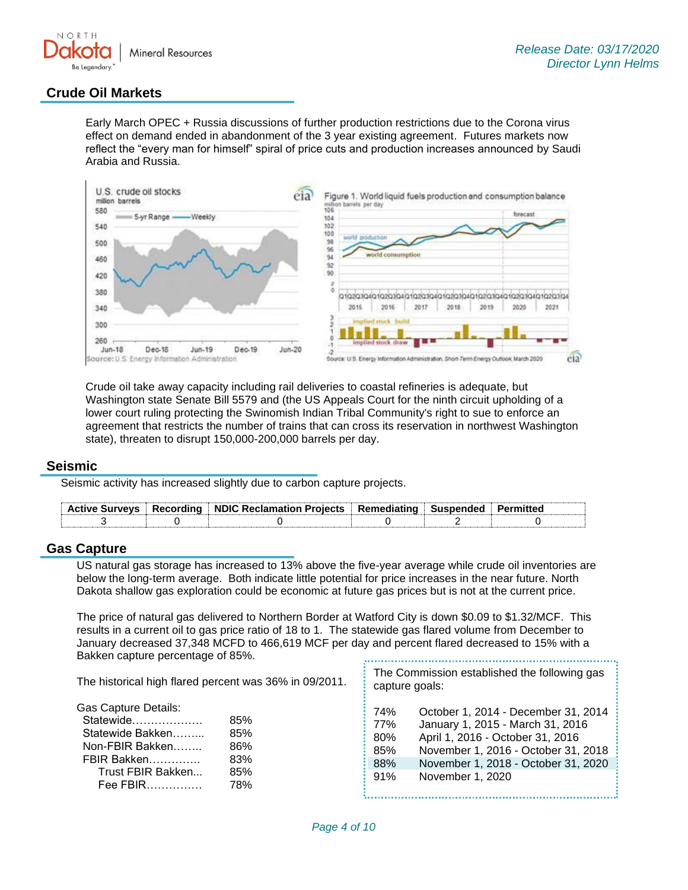

## **Crude Oil Markets**

Early March OPEC + Russia discussions of further production restrictions due to the Corona virus effect on demand ended in abandonment of the 3 year existing agreement. Futures markets now reflect the "every man for himself" spiral of price cuts and production increases announced by Saudi Arabia and Russia.



Crude oil take away capacity including rail deliveries to coastal refineries is adequate, but Washington state Senate Bill 5579 and (the US Appeals Court for the ninth circuit upholding of a lower court ruling protecting the Swinomish Indian Tribal Community's right to sue to enforce an agreement that restricts the number of trains that can cross its reservation in northwest Washington state), threaten to disrupt 150,000-200,000 barrels per day.

#### **Seismic**

Seismic activity has increased slightly due to carbon capture projects.

| <b>Active Survevs</b> | $\parallel$ Recording $\parallel$ NDIC Reclamation Projects $\parallel$ Remediating $\parallel$ Suspended $\parallel$ |  |  |
|-----------------------|-----------------------------------------------------------------------------------------------------------------------|--|--|
|                       |                                                                                                                       |  |  |

### **Gas Capture**

US natural gas storage has increased to 13% above the five-year average while crude oil inventories are below the long-term average. Both indicate little potential for price increases in the near future. North Dakota shallow gas exploration could be economic at future gas prices but is not at the current price.

The price of natural gas delivered to Northern Border at Watford City is down \$0.09 to \$1.32/MCF. This results in a current oil to gas price ratio of 18 to 1. The statewide gas flared volume from December to January decreased 37,348 MCFD to 466,619 MCF per day and percent flared decreased to 15% with a Bakken capture percentage of 85%.

The Commission established the following gas The historical high flared percent was 36% in 09/2011. capture goals: Gas Capture Details: 74% October 1, 2014 - December 31, 2014 Statewide………………. 85% 77% January 1, 2015 - March 31, 2016 Statewide Bakken……... 85% 80% April 1, 2016 - October 31, 2016 Non-FBIR Bakken…….. 86% 85% November 1, 2016 - October 31, 2018 FBIR Bakken………….. 83% 88% November 1, 2018 - October 31, 2020 Trust FBIR Bakken... 85% 91% November 1, 2020 Fee FBIR…………… 78%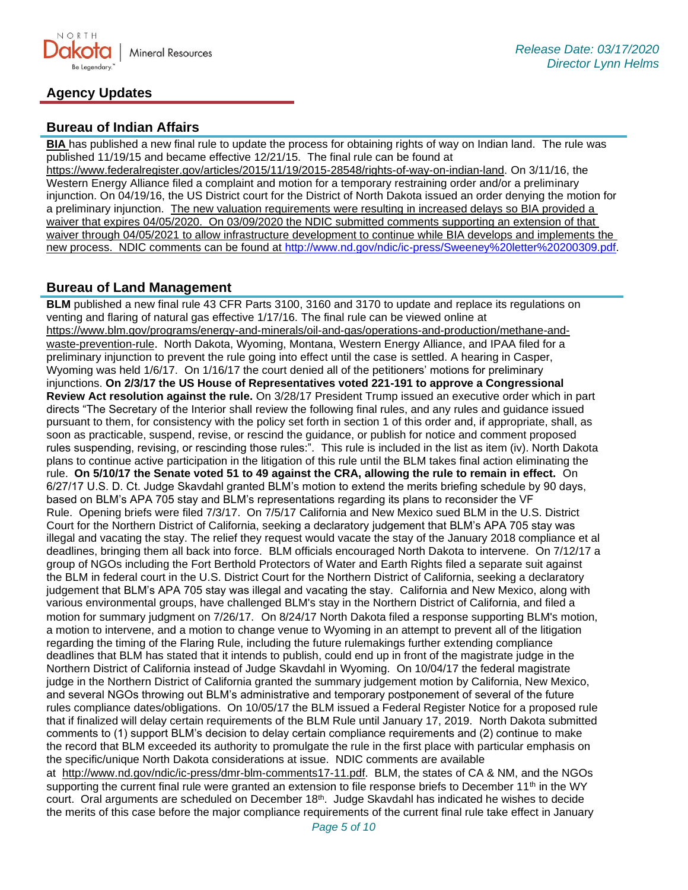

## **Agency Updates**

## **Bureau of Indian Affairs**

**BIA** has published a new final rule to update the process for obtaining rights of way on Indian land. The rule was published 11/19/15 and became effective 12/21/15. The final rule can be found at

[https://www.federalregister.gov/articles/2015/11/19/2015-28548/rights-of-way-on-indian-land.](https://www.federalregister.gov/articles/2015/11/19/2015-28548/rights-of-way-on-indian-land) On 3/11/16, the Western Energy Alliance filed a complaint and motion for a temporary restraining order and/or a preliminary injunction. On 04/19/16, the US District court for the District of North Dakota issued an order denying the motion for a preliminary injunction. The new valuation requirements were resulting in increased delays so BIA provided a waiver that expires 04/05/2020. On 03/09/2020 the NDIC submitted comments supporting an extension of that waiver through 04/05/2021 to allow infrastructure development to continue while BIA develops and implements the new process. NDIC comments can be found at [http://www.nd.gov/ndic/ic-press/Sweeney%20letter%20200309.pdf.](http://www.nd.gov/ndic/ic-press/Sweeney%20letter%20200309.pdf)

## **Bureau of Land Management**

**BLM** published a new final rule 43 CFR Parts 3100, 3160 and 3170 to update and replace its regulations on venting and flaring of natural gas effective 1/17/16. The final rule can be viewed online at [https://www.blm.gov/programs/energy-and-minerals/oil-and-gas/operations-and-production/methane-and](https://www.blm.gov/programs/energy-and-minerals/oil-and-gas/operations-and-production/methane-and-waste-prevention-rule)[waste-prevention-rule](https://www.blm.gov/programs/energy-and-minerals/oil-and-gas/operations-and-production/methane-and-waste-prevention-rule). North Dakota, Wyoming, Montana, Western Energy Alliance, and IPAA filed for a preliminary injunction to prevent the rule going into effect until the case is settled. A hearing in Casper, Wyoming was held 1/6/17. On 1/16/17 the court denied all of the petitioners' motions for preliminary injunctions. **On 2/3/17 the US House of Representatives voted 221-191 to approve a Congressional Review Act resolution against the rule.** On 3/28/17 President Trump issued an executive order which in part directs "The Secretary of the Interior shall review the following final rules, and any rules and guidance issued pursuant to them, for consistency with the policy set forth in section 1 of this order and, if appropriate, shall, as soon as practicable, suspend, revise, or rescind the guidance, or publish for notice and comment proposed rules suspending, revising, or rescinding those rules:". This rule is included in the list as item (iv). North Dakota plans to continue active participation in the litigation of this rule until the BLM takes final action eliminating the rule. **On 5/10/17 the Senate voted 51 to 49 against the CRA, allowing the rule to remain in effect.** On 6/27/17 U.S. D. Ct. Judge Skavdahl granted BLM's motion to extend the merits briefing schedule by 90 days, based on BLM's APA 705 stay and BLM's representations regarding its plans to reconsider the VF Rule. Opening briefs were filed 7/3/17. On 7/5/17 California and New Mexico sued BLM in the U.S. District Court for the Northern District of California, seeking a declaratory judgement that BLM's APA 705 stay was illegal and vacating the stay. The relief they request would vacate the stay of the January 2018 compliance et al deadlines, bringing them all back into force. BLM officials encouraged North Dakota to intervene. On 7/12/17 a group of NGOs including the Fort Berthold Protectors of Water and Earth Rights filed a separate suit against the BLM in federal court in the U.S. District Court for the Northern District of California, seeking a declaratory judgement that BLM's APA 705 stay was illegal and vacating the stay. California and New Mexico, along with various environmental groups, have challenged BLM's stay in the Northern District of California, and filed a motion for summary judgment on 7/26/17. On 8/24/17 North Dakota filed a response supporting BLM's motion, a motion to intervene, and a motion to change venue to Wyoming in an attempt to prevent all of the litigation regarding the timing of the Flaring Rule, including the future rulemakings further extending compliance deadlines that BLM has stated that it intends to publish, could end up in front of the magistrate judge in the Northern District of California instead of Judge Skavdahl in Wyoming. On 10/04/17 the federal magistrate judge in the Northern District of California granted the summary judgement motion by California, New Mexico, and several NGOs throwing out BLM's administrative and temporary postponement of several of the future rules compliance dates/obligations. On 10/05/17 the BLM issued a Federal Register Notice for a proposed rule that if finalized will delay certain requirements of the BLM Rule until January 17, 2019. North Dakota submitted comments to (1) support BLM's decision to delay certain compliance requirements and (2) continue to make the record that BLM exceeded its authority to promulgate the rule in the first place with particular emphasis on the specific/unique North Dakota considerations at issue. NDIC comments are available at [http://www.nd.gov/ndic/ic-press/dmr-blm-comments17-11.pdf.](http://www.nd.gov/ndic/ic-press/dmr-blm-comments17-11.pdf) BLM, the states of CA & NM, and the NGOs supporting the current final rule were granted an extension to file response briefs to December 11<sup>th</sup> in the WY court. Oral arguments are scheduled on December 18<sup>th</sup>. Judge Skavdahl has indicated he wishes to decide the merits of this case before the major compliance requirements of the current final rule take effect in January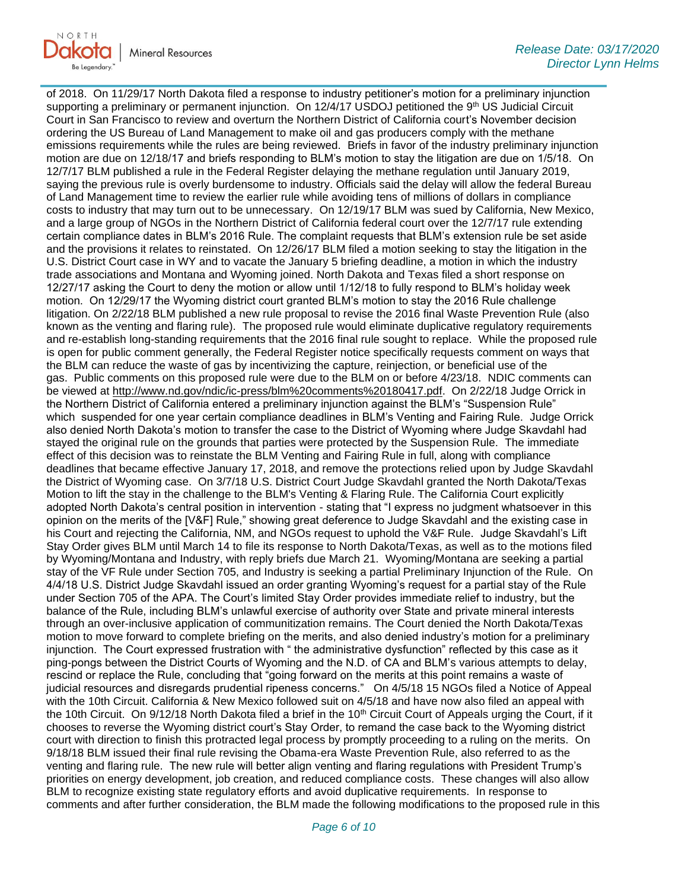

of 2018. On 11/29/17 North Dakota filed a response to industry petitioner's motion for a preliminary injunction supporting a preliminary or permanent injunction. On 12/4/17 USDOJ petitioned the 9<sup>th</sup> US Judicial Circuit Court in San Francisco to review and overturn the Northern District of California court's November decision ordering the US Bureau of Land Management to make oil and gas producers comply with the methane emissions requirements while the rules are being reviewed. Briefs in favor of the industry preliminary injunction motion are due on 12/18/17 and briefs responding to BLM's motion to stay the litigation are due on 1/5/18. On 12/7/17 BLM published a rule in the Federal Register delaying the methane regulation until January 2019, saying the previous rule is overly burdensome to industry. Officials said the delay will allow the federal Bureau of Land Management time to review the earlier rule while avoiding tens of millions of dollars in compliance costs to industry that may turn out to be unnecessary. On 12/19/17 BLM was sued by California, New Mexico, and a large group of NGOs in the Northern District of California federal court over the 12/7/17 rule extending certain compliance dates in BLM's 2016 Rule. The complaint requests that BLM's extension rule be set aside and the provisions it relates to reinstated. On 12/26/17 BLM filed a motion seeking to stay the litigation in the U.S. District Court case in WY and to vacate the January 5 briefing deadline, a motion in which the industry trade associations and Montana and Wyoming joined. North Dakota and Texas filed a short response on 12/27/17 asking the Court to deny the motion or allow until 1/12/18 to fully respond to BLM's holiday week motion. On 12/29/17 the Wyoming district court granted BLM's motion to stay the 2016 Rule challenge litigation. On 2/22/18 BLM published a new rule proposal to revise the 2016 final Waste Prevention Rule (also known as the venting and flaring rule). The proposed rule would eliminate duplicative regulatory requirements and re-establish long-standing requirements that the 2016 final rule sought to replace. While the proposed rule is open for public comment generally, the Federal Register notice specifically requests comment on ways that the BLM can reduce the waste of gas by incentivizing the capture, reinjection, or beneficial use of the gas. Public comments on this proposed rule were due to the BLM on or before 4/23/18. NDIC comments can be viewed at [http://www.nd.gov/ndic/ic-press/blm%20comments%20180417.pdf.](http://www.nd.gov/ndic/ic-press/blm%20comments%20180417.pdf) On 2/22/18 Judge Orrick in the Northern District of California entered a preliminary injunction against the BLM's "Suspension Rule" which suspended for one year certain compliance deadlines in BLM's Venting and Fairing Rule. Judge Orrick also denied North Dakota's motion to transfer the case to the District of Wyoming where Judge Skavdahl had stayed the original rule on the grounds that parties were protected by the Suspension Rule. The immediate effect of this decision was to reinstate the BLM Venting and Fairing Rule in full, along with compliance deadlines that became effective January 17, 2018, and remove the protections relied upon by Judge Skavdahl the District of Wyoming case. On 3/7/18 U.S. District Court Judge Skavdahl granted the North Dakota/Texas Motion to lift the stay in the challenge to the BLM's Venting & Flaring Rule. The California Court explicitly adopted North Dakota's central position in intervention - stating that "I express no judgment whatsoever in this opinion on the merits of the [V&F] Rule," showing great deference to Judge Skavdahl and the existing case in his Court and rejecting the California, NM, and NGOs request to uphold the V&F Rule. Judge Skavdahl's Lift Stay Order gives BLM until March 14 to file its response to North Dakota/Texas, as well as to the motions filed by Wyoming/Montana and Industry, with reply briefs due March 21. Wyoming/Montana are seeking a partial stay of the VF Rule under Section 705, and Industry is seeking a partial Preliminary Injunction of the Rule. On 4/4/18 U.S. District Judge Skavdahl issued an order granting Wyoming's request for a partial stay of the Rule under Section 705 of the APA. The Court's limited Stay Order provides immediate relief to industry, but the balance of the Rule, including BLM's unlawful exercise of authority over State and private mineral interests through an over-inclusive application of communitization remains. The Court denied the North Dakota/Texas motion to move forward to complete briefing on the merits, and also denied industry's motion for a preliminary injunction. The Court expressed frustration with " the administrative dysfunction" reflected by this case as it ping-pongs between the District Courts of Wyoming and the N.D. of CA and BLM's various attempts to delay, rescind or replace the Rule, concluding that "going forward on the merits at this point remains a waste of judicial resources and disregards prudential ripeness concerns." On 4/5/18 15 NGOs filed a Notice of Appeal with the 10th Circuit. California & New Mexico followed suit on 4/5/18 and have now also filed an appeal with the 10th Circuit. On  $9/12/18$  North Dakota filed a brief in the 10<sup>th</sup> Circuit Court of Appeals urging the Court, if it chooses to reverse the Wyoming district court's Stay Order, to remand the case back to the Wyoming district court with direction to finish this protracted legal process by promptly proceeding to a ruling on the merits. On 9/18/18 BLM issued their final rule revising the Obama-era Waste Prevention Rule, also referred to as the venting and flaring rule. The new rule will better align venting and flaring regulations with President Trump's priorities on energy development, job creation, and reduced compliance costs. These changes will also allow BLM to recognize existing state regulatory efforts and avoid duplicative requirements. In response to comments and after further consideration, the BLM made the following modifications to the proposed rule in this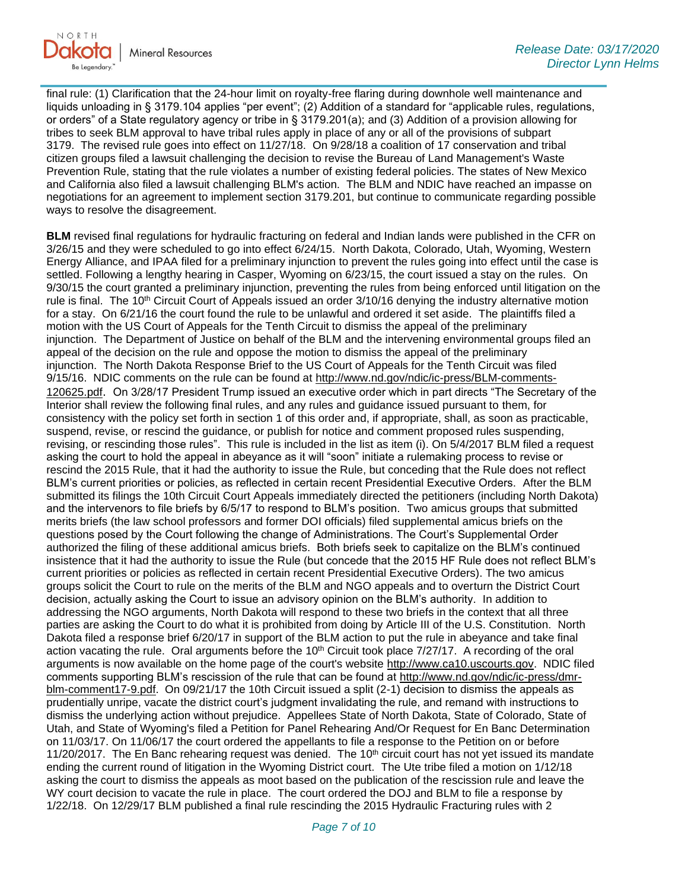

final rule: (1) Clarification that the 24-hour limit on royalty-free flaring during downhole well maintenance and liquids unloading in § 3179.104 applies "per event"; (2) Addition of a standard for "applicable rules, regulations, or orders" of a State regulatory agency or tribe in § 3179.201(a); and (3) Addition of a provision allowing for tribes to seek BLM approval to have tribal rules apply in place of any or all of the provisions of subpart 3179. The revised rule goes into effect on 11/27/18. On 9/28/18 a coalition of 17 conservation and tribal citizen groups filed a lawsuit challenging the decision to revise the Bureau of Land Management's Waste Prevention Rule, stating that the rule violates a number of existing federal policies. The states of New Mexico and California also filed a lawsuit challenging BLM's action. The BLM and NDIC have reached an impasse on negotiations for an agreement to implement section 3179.201, but continue to communicate regarding possible ways to resolve the disagreement.

**BLM** revised final regulations for hydraulic fracturing on federal and Indian lands were published in the CFR on 3/26/15 and they were scheduled to go into effect 6/24/15. North Dakota, Colorado, Utah, Wyoming, Western Energy Alliance, and IPAA filed for a preliminary injunction to prevent the rules going into effect until the case is settled. Following a lengthy hearing in Casper, Wyoming on 6/23/15, the court issued a stay on the rules. On 9/30/15 the court granted a preliminary injunction, preventing the rules from being enforced until litigation on the rule is final. The 10<sup>th</sup> Circuit Court of Appeals issued an order 3/10/16 denying the industry alternative motion for a stay. On 6/21/16 the court found the rule to be unlawful and ordered it set aside. The plaintiffs filed a motion with the US Court of Appeals for the Tenth Circuit to dismiss the appeal of the preliminary injunction. The Department of Justice on behalf of the BLM and the intervening environmental groups filed an appeal of the decision on the rule and oppose the motion to dismiss the appeal of the preliminary injunction. The North Dakota Response Brief to the US Court of Appeals for the Tenth Circuit was filed 9/15/16. NDIC comments on the rule can be found at [http://www.nd.gov/ndic/ic-press/BLM-comments-](http://www.nd.gov/ndic/ic-press/BLM-comments-120625.pdf)[120625.pdf](http://www.nd.gov/ndic/ic-press/BLM-comments-120625.pdf). On 3/28/17 President Trump issued an executive order which in part directs "The Secretary of the Interior shall review the following final rules, and any rules and guidance issued pursuant to them, for consistency with the policy set forth in section 1 of this order and, if appropriate, shall, as soon as practicable, suspend, revise, or rescind the guidance, or publish for notice and comment proposed rules suspending, revising, or rescinding those rules". This rule is included in the list as item (i). On 5/4/2017 BLM filed a request asking the court to hold the appeal in abeyance as it will "soon" initiate a rulemaking process to revise or rescind the 2015 Rule, that it had the authority to issue the Rule, but conceding that the Rule does not reflect BLM's current priorities or policies, as reflected in certain recent Presidential Executive Orders. After the BLM submitted its filings the 10th Circuit Court Appeals immediately directed the petitioners (including North Dakota) and the intervenors to file briefs by 6/5/17 to respond to BLM's position. Two amicus groups that submitted merits briefs (the law school professors and former DOI officials) filed supplemental amicus briefs on the questions posed by the Court following the change of Administrations. The Court's Supplemental Order authorized the filing of these additional amicus briefs. Both briefs seek to capitalize on the BLM's continued insistence that it had the authority to issue the Rule (but concede that the 2015 HF Rule does not reflect BLM's current priorities or policies as reflected in certain recent Presidential Executive Orders). The two amicus groups solicit the Court to rule on the merits of the BLM and NGO appeals and to overturn the District Court decision, actually asking the Court to issue an advisory opinion on the BLM's authority. In addition to addressing the NGO arguments, North Dakota will respond to these two briefs in the context that all three parties are asking the Court to do what it is prohibited from doing by Article III of the U.S. Constitution. North Dakota filed a response brief 6/20/17 in support of the BLM action to put the rule in abeyance and take final action vacating the rule. Oral arguments before the 10<sup>th</sup> Circuit took place 7/27/17. A recording of the oral arguments is now available on the home page of the court's website [http://www.ca10.uscourts.gov.](https://urldefense.proofpoint.com/v2/url?u=http-3A__www.ca10.uscourts.gov&d=DwMGaQ&c=2s2mvbfY0UoSKkl6_Ol9wg&r=-wqsZnBxny594KY8HeElow&m=Ul_VtJUX6iW5pvHjCcBxUWtskC0F4Dhry3sPtcEHvCw&s=laRHiLDv5w8otcQWQjpn82WMieoB2AZ-Q4M1LFQPL5s&e=) NDIC filed comments supporting BLM's rescission of the rule that can be found at [http://www.nd.gov/ndic/ic-press/dmr](http://www.nd.gov/ndic/ic-press/dmr-blm-comment17-9.pdf)[blm-comment17-9.pdf.](http://www.nd.gov/ndic/ic-press/dmr-blm-comment17-9.pdf) On 09/21/17 the 10th Circuit issued a split (2-1) decision to dismiss the appeals as prudentially unripe, vacate the district court's judgment invalidating the rule, and remand with instructions to dismiss the underlying action without prejudice. Appellees State of North Dakota, State of Colorado, State of Utah, and State of Wyoming's filed a Petition for Panel Rehearing And/Or Request for En Banc Determination on 11/03/17. On 11/06/17 the court ordered the appellants to file a response to the Petition on or before 11/20/2017. The En Banc rehearing request was denied. The 10<sup>th</sup> circuit court has not yet issued its mandate ending the current round of litigation in the Wyoming District court. The Ute tribe filed a motion on 1/12/18 asking the court to dismiss the appeals as moot based on the publication of the rescission rule and leave the WY court decision to vacate the rule in place. The court ordered the DOJ and BLM to file a response by 1/22/18. On 12/29/17 BLM published a final rule rescinding the 2015 Hydraulic Fracturing rules with 2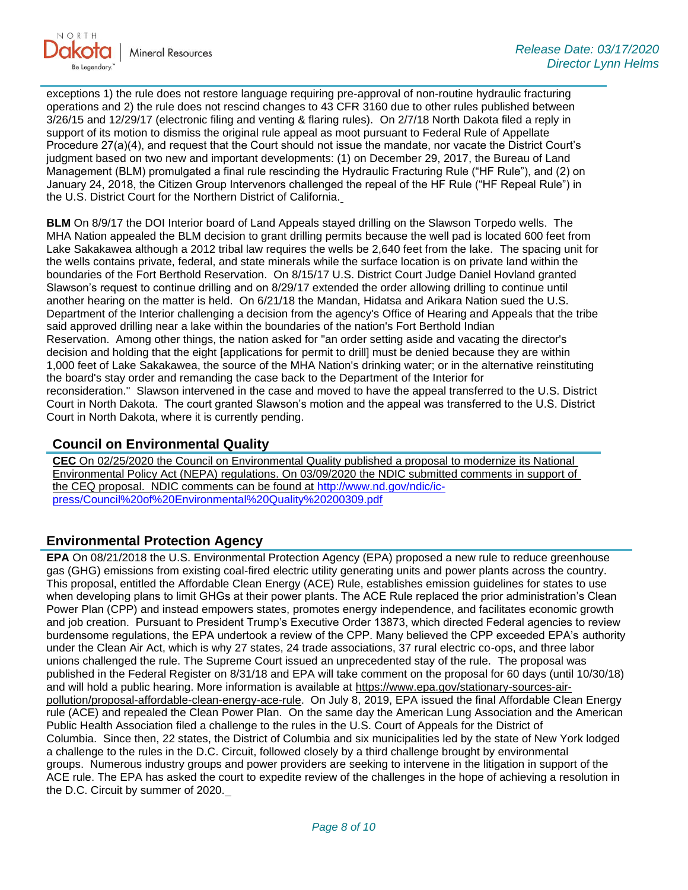

exceptions 1) the rule does not restore language requiring pre-approval of non-routine hydraulic fracturing operations and 2) the rule does not rescind changes to 43 CFR 3160 due to other rules published between 3/26/15 and 12/29/17 (electronic filing and venting & flaring rules). On 2/7/18 North Dakota filed a reply in support of its motion to dismiss the original rule appeal as moot pursuant to Federal Rule of Appellate Procedure 27(a)(4), and request that the Court should not issue the mandate, nor vacate the District Court's judgment based on two new and important developments: (1) on December 29, 2017, the Bureau of Land Management (BLM) promulgated a final rule rescinding the Hydraulic Fracturing Rule ("HF Rule"), and (2) on January 24, 2018, the Citizen Group Intervenors challenged the repeal of the HF Rule ("HF Repeal Rule") in the U.S. District Court for the Northern District of California.

**BLM** On 8/9/17 the DOI Interior board of Land Appeals stayed drilling on the Slawson Torpedo wells. The MHA Nation appealed the BLM decision to grant drilling permits because the well pad is located 600 feet from Lake Sakakawea although a 2012 tribal law requires the wells be 2,640 feet from the lake. The spacing unit for the wells contains private, federal, and state minerals while the surface location is on private land within the boundaries of the Fort Berthold Reservation. On 8/15/17 U.S. District Court Judge Daniel Hovland granted Slawson's request to continue drilling and on 8/29/17 extended the order allowing drilling to continue until another hearing on the matter is held. On 6/21/18 the Mandan, Hidatsa and Arikara Nation sued the U.S. Department of the Interior challenging a decision from the agency's Office of Hearing and Appeals that the tribe said approved drilling near a lake within the boundaries of the nation's Fort Berthold Indian Reservation. Among other things, the nation asked for "an order setting aside and vacating the director's decision and holding that the eight [applications for permit to drill] must be denied because they are within 1,000 feet of Lake Sakakawea, the source of the MHA Nation's drinking water; or in the alternative reinstituting the board's stay order and remanding the case back to the Department of the Interior for reconsideration." Slawson intervened in the case and moved to have the appeal transferred to the U.S. District Court in North Dakota. The court granted Slawson's motion and the appeal was transferred to the U.S. District Court in North Dakota, where it is currently pending.

## **Council on Environmental Quality**

**CEC** On 02/25/2020 the Council on Environmental Quality published a proposal to modernize its National Environmental Policy Act (NEPA) regulations. On 03/09/2020 the NDIC submitted comments in support of the CEQ proposal. NDIC comments can be found at [http://www.nd.gov/ndic/ic](http://www.nd.gov/ndic/ic-press/Council%20of%20Environmental%20Quality%20200309.pdf)[press/Council%20of%20Environmental%20Quality%20200309.pdf](http://www.nd.gov/ndic/ic-press/Council%20of%20Environmental%20Quality%20200309.pdf)

## **Environmental Protection Agency**

**EPA** On 08/21/2018 the U.S. Environmental Protection Agency (EPA) proposed a new rule to reduce greenhouse gas (GHG) emissions from existing coal-fired electric utility generating units and power plants across the country. This proposal, entitled the Affordable Clean Energy (ACE) Rule, establishes emission guidelines for states to use when developing plans to limit GHGs at their power plants. The ACE Rule replaced the prior administration's Clean Power Plan (CPP) and instead empowers states, promotes energy independence, and facilitates economic growth and job creation. Pursuant to President Trump's Executive Order 13873, which directed Federal agencies to review burdensome regulations, the EPA undertook a review of the CPP. Many believed the CPP exceeded EPA's authority under the Clean Air Act, which is why 27 states, 24 trade associations, 37 rural electric co-ops, and three labor unions challenged the rule. The Supreme Court issued an unprecedented stay of the rule. The proposal was published in the Federal Register on 8/31/18 and EPA will take comment on the proposal for 60 days (until 10/30/18) and will hold a public hearing. More information is available at [https://www.epa.gov/stationary-sources-air](https://www.epa.gov/stationary-sources-air-pollution/proposal-affordable-clean-energy-ace-rule)[pollution/proposal-affordable-clean-energy-ace-rule.](https://www.epa.gov/stationary-sources-air-pollution/proposal-affordable-clean-energy-ace-rule) On July 8, 2019, EPA issued the final Affordable Clean Energy rule (ACE) and repealed the Clean Power Plan. On the same day the American Lung Association and the American Public Health Association filed a challenge to the rules in the U.S. Court of Appeals for the District of Columbia. Since then, 22 states, the District of Columbia and six municipalities led by the state of New York lodged a challenge to the rules in the D.C. Circuit, followed closely by a third challenge brought by environmental groups. Numerous industry groups and power providers are seeking to intervene in the litigation in support of the ACE rule. The EPA has asked the court to expedite review of the challenges in the hope of achieving a resolution in the D.C. Circuit by summer of 2020.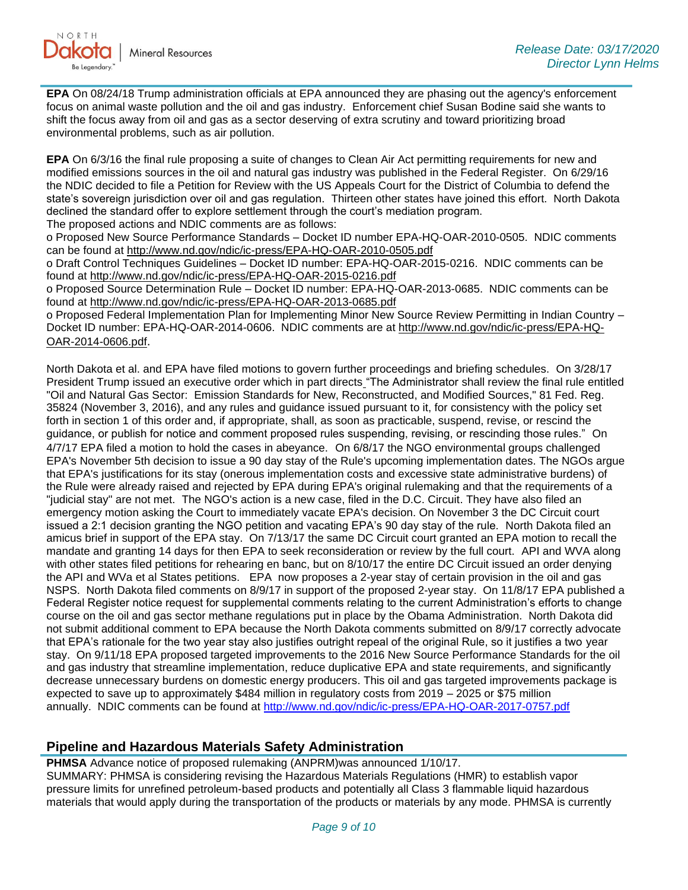**EPA** On 08/24/18 Trump administration officials at EPA announced they are phasing out the agency's enforcement focus on animal waste pollution and the oil and gas industry. Enforcement chief Susan Bodine said she wants to shift the focus away from oil and gas as a sector deserving of extra scrutiny and toward prioritizing broad environmental problems, such as air pollution.

**EPA** On 6/3/16 the final rule proposing a suite of changes to Clean Air Act permitting requirements for new and modified emissions sources in the oil and natural gas industry was published in the Federal Register. On 6/29/16 the NDIC decided to file a Petition for Review with the US Appeals Court for the District of Columbia to defend the state's sovereign jurisdiction over oil and gas regulation. Thirteen other states have joined this effort. North Dakota declined the standard offer to explore settlement through the court's mediation program.

The proposed actions and NDIC comments are as follows:

o Proposed New Source Performance Standards – Docket ID number EPA-HQ-OAR-2010-0505. NDIC comments can be found at<http://www.nd.gov/ndic/ic-press/EPA-HQ-OAR-2010-0505.pdf>

o Draft Control Techniques Guidelines – Docket ID number: EPA-HQ-OAR-2015-0216. NDIC comments can be found at<http://www.nd.gov/ndic/ic-press/EPA-HQ-OAR-2015-0216.pdf>

o Proposed Source Determination Rule – Docket ID number: EPA-HQ-OAR-2013-0685. NDIC comments can be found at<http://www.nd.gov/ndic/ic-press/EPA-HQ-OAR-2013-0685.pdf>

o Proposed Federal Implementation Plan for Implementing Minor New Source Review Permitting in Indian Country – Docket ID number: EPA-HQ-OAR-2014-0606. NDIC comments are at [http://www.nd.gov/ndic/ic-press/EPA-HQ-](http://www.nd.gov/ndic/ic-press/EPA-HQ-OAR-2014-0606.pdf)[OAR-2014-0606.pdf](http://www.nd.gov/ndic/ic-press/EPA-HQ-OAR-2014-0606.pdf).

North Dakota et al. and EPA have filed motions to govern further proceedings and briefing schedules. On 3/28/17 President Trump issued an executive order which in part directs "The Administrator shall review the final rule entitled "Oil and Natural Gas Sector: Emission Standards for New, Reconstructed, and Modified Sources," 81 Fed. Reg. 35824 (November 3, 2016), and any rules and guidance issued pursuant to it, for consistency with the policy set forth in section 1 of this order and, if appropriate, shall, as soon as practicable, suspend, revise, or rescind the guidance, or publish for notice and comment proposed rules suspending, revising, or rescinding those rules." On 4/7/17 EPA filed a motion to hold the cases in abeyance. On 6/8/17 the NGO environmental groups challenged EPA's November 5th decision to issue a 90 day stay of the Rule's upcoming implementation dates. The NGOs argue that EPA's justifications for its stay (onerous implementation costs and excessive state administrative burdens) of the Rule were already raised and rejected by EPA during EPA's original rulemaking and that the requirements of a "judicial stay" are not met. The NGO's action is a new case, filed in the D.C. Circuit. They have also filed an emergency motion asking the Court to immediately vacate EPA's decision. On November 3 the DC Circuit court issued a 2:1 decision granting the NGO petition and vacating EPA's 90 day stay of the rule. North Dakota filed an amicus brief in support of the EPA stay. On 7/13/17 the same DC Circuit court granted an EPA motion to recall the mandate and granting 14 days for then EPA to seek reconsideration or review by the full court. API and WVA along with other states filed petitions for rehearing en banc, but on 8/10/17 the entire DC Circuit issued an order denying the API and WVa et al States petitions. EPA now proposes a 2-year stay of certain provision in the oil and gas NSPS. North Dakota filed comments on 8/9/17 in support of the proposed 2-year stay. On 11/8/17 EPA published a Federal Register notice request for supplemental comments relating to the current Administration's efforts to change course on the oil and gas sector methane regulations put in place by the Obama Administration. North Dakota did not submit additional comment to EPA because the North Dakota comments submitted on 8/9/17 correctly advocate that EPA's rationale for the two year stay also justifies outright repeal of the original Rule, so it justifies a two year stay. On 9/11/18 EPA proposed targeted improvements to the 2016 New Source Performance Standards for the oil and gas industry that streamline implementation, reduce duplicative EPA and state requirements, and significantly decrease unnecessary burdens on domestic energy producers. This oil and gas targeted improvements package is expected to save up to approximately \$484 million in regulatory costs from 2019 – 2025 or \$75 million annually. NDIC comments can be found at<http://www.nd.gov/ndic/ic-press/EPA-HQ-OAR-2017-0757.pdf>

## **Pipeline and Hazardous Materials Safety Administration**

**PHMSA** Advance notice of proposed rulemaking (ANPRM)was announced 1/10/17. SUMMARY: PHMSA is considering revising the Hazardous Materials Regulations (HMR) to establish vapor pressure limits for unrefined petroleum-based products and potentially all Class 3 flammable liquid hazardous materials that would apply during the transportation of the products or materials by any mode. PHMSA is currently